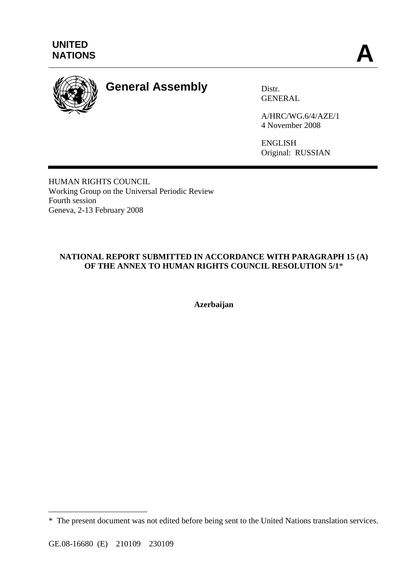

# **General Assembly** Distr.

GENERAL

A/HRC/WG.6/4/AZE/1 4 November 2008

ENGLISH Original: RUSSIAN

HUMAN RIGHTS COUNCIL Working Group on the Universal Periodic Review Fourth session Geneva, 2-13 February 2008

# **NATIONAL REPORT SUBMITTED IN ACCORDANCE WITH PARAGRAPH 15 (A) OF THE ANNEX TO HUMAN RIGHTS COUNCIL RESOLUTION 5/1**\*

**Azerbaijan** 

 $\overline{a}$ 

<sup>\*</sup> The present document was not edited before being sent to the United Nations translation services.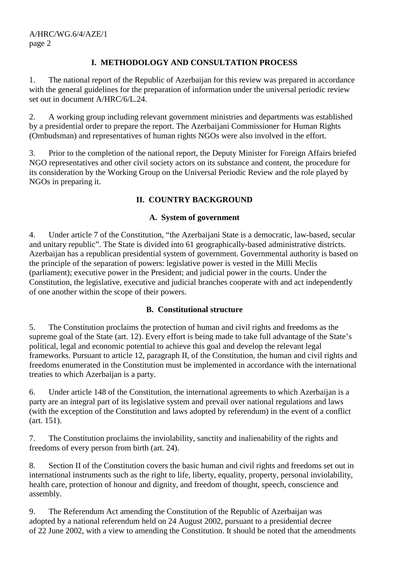# **I. METHODOLOGY AND CONSULTATION PROCESS**

1. The national report of the Republic of Azerbaijan for this review was prepared in accordance with the general guidelines for the preparation of information under the universal periodic review set out in document A/HRC/6/L.24.

2. A working group including relevant government ministries and departments was established by a presidential order to prepare the report. The Azerbaijani Commissioner for Human Rights (Ombudsman) and representatives of human rights NGOs were also involved in the effort.

3. Prior to the completion of the national report, the Deputy Minister for Foreign Affairs briefed NGO representatives and other civil society actors on its substance and content, the procedure for its consideration by the Working Group on the Universal Periodic Review and the role played by NGOs in preparing it.

# **II. COUNTRY BACKGROUND**

## **A. System of government**

4. Under article 7 of the Constitution, "the Azerbaijani State is a democratic, law-based, secular and unitary republic". The State is divided into 61 geographically-based administrative districts. Azerbaijan has a republican presidential system of government. Governmental authority is based on the principle of the separation of powers: legislative power is vested in the Milli Meclis (parliament); executive power in the President; and judicial power in the courts. Under the Constitution, the legislative, executive and judicial branches cooperate with and act independently of one another within the scope of their powers.

## **B. Constitutional structure**

5. The Constitution proclaims the protection of human and civil rights and freedoms as the supreme goal of the State (art. 12). Every effort is being made to take full advantage of the State's political, legal and economic potential to achieve this goal and develop the relevant legal frameworks. Pursuant to article 12, paragraph II, of the Constitution, the human and civil rights and freedoms enumerated in the Constitution must be implemented in accordance with the international treaties to which Azerbaijan is a party.

6. Under article 148 of the Constitution, the international agreements to which Azerbaijan is a party are an integral part of its legislative system and prevail over national regulations and laws (with the exception of the Constitution and laws adopted by referendum) in the event of a conflict (art. 151).

7. The Constitution proclaims the inviolability, sanctity and inalienability of the rights and freedoms of every person from birth (art. 24).

8. Section II of the Constitution covers the basic human and civil rights and freedoms set out in international instruments such as the right to life, liberty, equality, property, personal inviolability, health care, protection of honour and dignity, and freedom of thought, speech, conscience and assembly.

9. The Referendum Act amending the Constitution of the Republic of Azerbaijan was adopted by a national referendum held on 24 August 2002, pursuant to a presidential decree of 22 June 2002, with a view to amending the Constitution. It should be noted that the amendments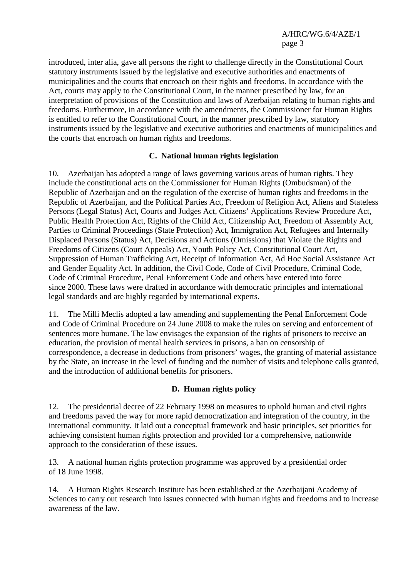introduced, inter alia, gave all persons the right to challenge directly in the Constitutional Court statutory instruments issued by the legislative and executive authorities and enactments of municipalities and the courts that encroach on their rights and freedoms. In accordance with the Act, courts may apply to the Constitutional Court, in the manner prescribed by law, for an interpretation of provisions of the Constitution and laws of Azerbaijan relating to human rights and freedoms. Furthermore, in accordance with the amendments, the Commissioner for Human Rights is entitled to refer to the Constitutional Court, in the manner prescribed by law, statutory instruments issued by the legislative and executive authorities and enactments of municipalities and the courts that encroach on human rights and freedoms.

## **C. National human rights legislation**

10. Azerbaijan has adopted a range of laws governing various areas of human rights. They include the constitutional acts on the Commissioner for Human Rights (Ombudsman) of the Republic of Azerbaijan and on the regulation of the exercise of human rights and freedoms in the Republic of Azerbaijan, and the Political Parties Act, Freedom of Religion Act, Aliens and Stateless Persons (Legal Status) Act, Courts and Judges Act, Citizens' Applications Review Procedure Act, Public Health Protection Act, Rights of the Child Act, Citizenship Act, Freedom of Assembly Act, Parties to Criminal Proceedings (State Protection) Act, Immigration Act, Refugees and Internally Displaced Persons (Status) Act, Decisions and Actions (Omissions) that Violate the Rights and Freedoms of Citizens (Court Appeals) Act, Youth Policy Act, Constitutional Court Act, Suppression of Human Trafficking Act, Receipt of Information Act, Ad Hoc Social Assistance Act and Gender Equality Act. In addition, the Civil Code, Code of Civil Procedure, Criminal Code, Code of Criminal Procedure, Penal Enforcement Code and others have entered into force since 2000. These laws were drafted in accordance with democratic principles and international legal standards and are highly regarded by international experts.

11. The Milli Meclis adopted a law amending and supplementing the Penal Enforcement Code and Code of Criminal Procedure on 24 June 2008 to make the rules on serving and enforcement of sentences more humane. The law envisages the expansion of the rights of prisoners to receive an education, the provision of mental health services in prisons, a ban on censorship of correspondence, a decrease in deductions from prisoners' wages, the granting of material assistance by the State, an increase in the level of funding and the number of visits and telephone calls granted, and the introduction of additional benefits for prisoners.

# **D. Human rights policy**

12. The presidential decree of 22 February 1998 on measures to uphold human and civil rights and freedoms paved the way for more rapid democratization and integration of the country, in the international community. It laid out a conceptual framework and basic principles, set priorities for achieving consistent human rights protection and provided for a comprehensive, nationwide approach to the consideration of these issues.

13. A national human rights protection programme was approved by a presidential order of 18 June 1998.

14. A Human Rights Research Institute has been established at the Azerbaijani Academy of Sciences to carry out research into issues connected with human rights and freedoms and to increase awareness of the law.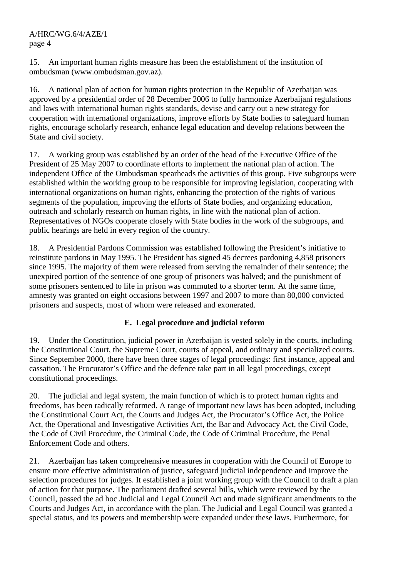15. An important human rights measure has been the establishment of the institution of ombudsman (www.ombudsman.gov.az).

16. A national plan of action for human rights protection in the Republic of Azerbaijan was approved by a presidential order of 28 December 2006 to fully harmonize Azerbaijani regulations and laws with international human rights standards, devise and carry out a new strategy for cooperation with international organizations, improve efforts by State bodies to safeguard human rights, encourage scholarly research, enhance legal education and develop relations between the State and civil society.

17. A working group was established by an order of the head of the Executive Office of the President of 25 May 2007 to coordinate efforts to implement the national plan of action. The independent Office of the Ombudsman spearheads the activities of this group. Five subgroups were established within the working group to be responsible for improving legislation, cooperating with international organizations on human rights, enhancing the protection of the rights of various segments of the population, improving the efforts of State bodies, and organizing education, outreach and scholarly research on human rights, in line with the national plan of action. Representatives of NGOs cooperate closely with State bodies in the work of the subgroups, and public hearings are held in every region of the country.

18. A Presidential Pardons Commission was established following the President's initiative to reinstitute pardons in May 1995. The President has signed 45 decrees pardoning 4,858 prisoners since 1995. The majority of them were released from serving the remainder of their sentence; the unexpired portion of the sentence of one group of prisoners was halved; and the punishment of some prisoners sentenced to life in prison was commuted to a shorter term. At the same time, amnesty was granted on eight occasions between 1997 and 2007 to more than 80,000 convicted prisoners and suspects, most of whom were released and exonerated.

# **E. Legal procedure and judicial reform**

19. Under the Constitution, judicial power in Azerbaijan is vested solely in the courts, including the Constitutional Court, the Supreme Court, courts of appeal, and ordinary and specialized courts. Since September 2000, there have been three stages of legal proceedings: first instance, appeal and cassation. The Procurator's Office and the defence take part in all legal proceedings, except constitutional proceedings.

20. The judicial and legal system, the main function of which is to protect human rights and freedoms, has been radically reformed. A range of important new laws has been adopted, including the Constitutional Court Act, the Courts and Judges Act, the Procurator's Office Act, the Police Act, the Operational and Investigative Activities Act, the Bar and Advocacy Act, the Civil Code, the Code of Civil Procedure, the Criminal Code, the Code of Criminal Procedure, the Penal Enforcement Code and others.

21. Azerbaijan has taken comprehensive measures in cooperation with the Council of Europe to ensure more effective administration of justice, safeguard judicial independence and improve the selection procedures for judges. It established a joint working group with the Council to draft a plan of action for that purpose. The parliament drafted several bills, which were reviewed by the Council, passed the ad hoc Judicial and Legal Council Act and made significant amendments to the Courts and Judges Act, in accordance with the plan. The Judicial and Legal Council was granted a special status, and its powers and membership were expanded under these laws. Furthermore, for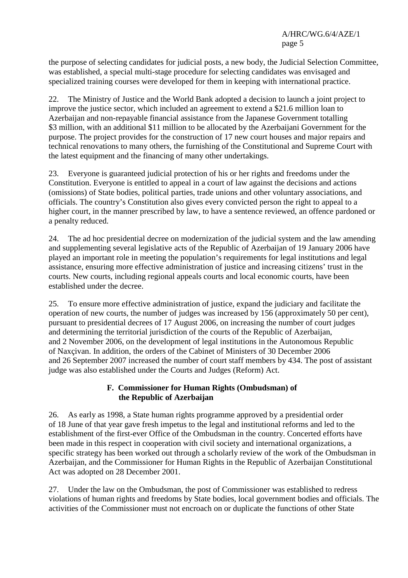the purpose of selecting candidates for judicial posts, a new body, the Judicial Selection Committee, was established, a special multi-stage procedure for selecting candidates was envisaged and specialized training courses were developed for them in keeping with international practice.

22. The Ministry of Justice and the World Bank adopted a decision to launch a joint project to improve the justice sector, which included an agreement to extend a \$21.6 million loan to Azerbaijan and non-repayable financial assistance from the Japanese Government totalling \$3 million, with an additional \$11 million to be allocated by the Azerbaijani Government for the purpose. The project provides for the construction of 17 new court houses and major repairs and technical renovations to many others, the furnishing of the Constitutional and Supreme Court with the latest equipment and the financing of many other undertakings.

23. Everyone is guaranteed judicial protection of his or her rights and freedoms under the Constitution. Everyone is entitled to appeal in a court of law against the decisions and actions (omissions) of State bodies, political parties, trade unions and other voluntary associations, and officials. The country's Constitution also gives every convicted person the right to appeal to a higher court, in the manner prescribed by law, to have a sentence reviewed, an offence pardoned or a penalty reduced.

24. The ad hoc presidential decree on modernization of the judicial system and the law amending and supplementing several legislative acts of the Republic of Azerbaijan of 19 January 2006 have played an important role in meeting the population's requirements for legal institutions and legal assistance, ensuring more effective administration of justice and increasing citizens' trust in the courts. New courts, including regional appeals courts and local economic courts, have been established under the decree.

25. To ensure more effective administration of justice, expand the judiciary and facilitate the operation of new courts, the number of judges was increased by 156 (approximately 50 per cent), pursuant to presidential decrees of 17 August 2006, on increasing the number of court judges and determining the territorial jurisdiction of the courts of the Republic of Azerbaijan, and 2 November 2006, on the development of legal institutions in the Autonomous Republic of Naxçivan. In addition, the orders of the Cabinet of Ministers of 30 December 2006 and 26 September 2007 increased the number of court staff members by 434. The post of assistant judge was also established under the Courts and Judges (Reform) Act.

## **F. Commissioner for Human Rights (Ombudsman) of the Republic of Azerbaijan**

26. As early as 1998, a State human rights programme approved by a presidential order of 18 June of that year gave fresh impetus to the legal and institutional reforms and led to the establishment of the first-ever Office of the Ombudsman in the country. Concerted efforts have been made in this respect in cooperation with civil society and international organizations, a specific strategy has been worked out through a scholarly review of the work of the Ombudsman in Azerbaijan, and the Commissioner for Human Rights in the Republic of Azerbaijan Constitutional Act was adopted on 28 December 2001.

27. Under the law on the Ombudsman, the post of Commissioner was established to redress violations of human rights and freedoms by State bodies, local government bodies and officials. The activities of the Commissioner must not encroach on or duplicate the functions of other State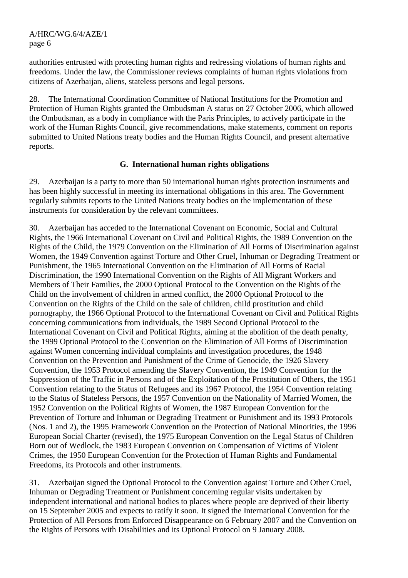authorities entrusted with protecting human rights and redressing violations of human rights and freedoms. Under the law, the Commissioner reviews complaints of human rights violations from citizens of Azerbaijan, aliens, stateless persons and legal persons.

28. The International Coordination Committee of National Institutions for the Promotion and Protection of Human Rights granted the Ombudsman A status on 27 October 2006, which allowed the Ombudsman, as a body in compliance with the Paris Principles, to actively participate in the work of the Human Rights Council, give recommendations, make statements, comment on reports submitted to United Nations treaty bodies and the Human Rights Council, and present alternative reports.

#### **G. International human rights obligations**

29. Azerbaijan is a party to more than 50 international human rights protection instruments and has been highly successful in meeting its international obligations in this area. The Government regularly submits reports to the United Nations treaty bodies on the implementation of these instruments for consideration by the relevant committees.

30. Azerbaijan has acceded to the International Covenant on Economic, Social and Cultural Rights, the 1966 International Covenant on Civil and Political Rights, the 1989 Convention on the Rights of the Child, the 1979 Convention on the Elimination of All Forms of Discrimination against Women, the 1949 Convention against Torture and Other Cruel, Inhuman or Degrading Treatment or Punishment, the 1965 International Convention on the Elimination of All Forms of Racial Discrimination, the 1990 International Convention on the Rights of All Migrant Workers and Members of Their Families, the 2000 Optional Protocol to the Convention on the Rights of the Child on the involvement of children in armed conflict, the 2000 Optional Protocol to the Convention on the Rights of the Child on the sale of children, child prostitution and child pornography, the 1966 Optional Protocol to the International Covenant on Civil and Political Rights concerning communications from individuals, the 1989 Second Optional Protocol to the International Covenant on Civil and Political Rights, aiming at the abolition of the death penalty, the 1999 Optional Protocol to the Convention on the Elimination of All Forms of Discrimination against Women concerning individual complaints and investigation procedures, the 1948 Convention on the Prevention and Punishment of the Crime of Genocide, the 1926 Slavery Convention, the 1953 Protocol amending the Slavery Convention, the 1949 Convention for the Suppression of the Traffic in Persons and of the Exploitation of the Prostitution of Others, the 1951 Convention relating to the Status of Refugees and its 1967 Protocol, the 1954 Convention relating to the Status of Stateless Persons, the 1957 Convention on the Nationality of Married Women, the 1952 Convention on the Political Rights of Women, the 1987 European Convention for the Prevention of Torture and Inhuman or Degrading Treatment or Punishment and its 1993 Protocols (Nos. 1 and 2), the 1995 Framework Convention on the Protection of National Minorities, the 1996 European Social Charter (revised), the 1975 European Convention on the Legal Status of Children Born out of Wedlock, the 1983 European Convention on Compensation of Victims of Violent Crimes, the 1950 European Convention for the Protection of Human Rights and Fundamental Freedoms, its Protocols and other instruments.

31. Azerbaijan signed the Optional Protocol to the Convention against Torture and Other Cruel, Inhuman or Degrading Treatment or Punishment concerning regular visits undertaken by independent international and national bodies to places where people are deprived of their liberty on 15 September 2005 and expects to ratify it soon. It signed the International Convention for the Protection of All Persons from Enforced Disappearance on 6 February 2007 and the Convention on the Rights of Persons with Disabilities and its Optional Protocol on 9 January 2008.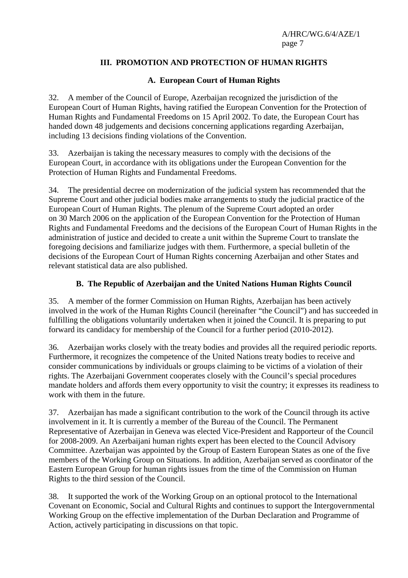# **III. PROMOTION AND PROTECTION OF HUMAN RIGHTS**

## **A. European Court of Human Rights**

32. A member of the Council of Europe, Azerbaijan recognized the jurisdiction of the European Court of Human Rights, having ratified the European Convention for the Protection of Human Rights and Fundamental Freedoms on 15 April 2002. To date, the European Court has handed down 48 judgements and decisions concerning applications regarding Azerbaijan, including 13 decisions finding violations of the Convention.

33. Azerbaijan is taking the necessary measures to comply with the decisions of the European Court, in accordance with its obligations under the European Convention for the Protection of Human Rights and Fundamental Freedoms.

34. The presidential decree on modernization of the judicial system has recommended that the Supreme Court and other judicial bodies make arrangements to study the judicial practice of the European Court of Human Rights. The plenum of the Supreme Court adopted an order on 30 March 2006 on the application of the European Convention for the Protection of Human Rights and Fundamental Freedoms and the decisions of the European Court of Human Rights in the administration of justice and decided to create a unit within the Supreme Court to translate the foregoing decisions and familiarize judges with them. Furthermore, a special bulletin of the decisions of the European Court of Human Rights concerning Azerbaijan and other States and relevant statistical data are also published.

# **B. The Republic of Azerbaijan and the United Nations Human Rights Council**

35. A member of the former Commission on Human Rights, Azerbaijan has been actively involved in the work of the Human Rights Council (hereinafter "the Council") and has succeeded in fulfilling the obligations voluntarily undertaken when it joined the Council. It is preparing to put forward its candidacy for membership of the Council for a further period (2010-2012).

36. Azerbaijan works closely with the treaty bodies and provides all the required periodic reports. Furthermore, it recognizes the competence of the United Nations treaty bodies to receive and consider communications by individuals or groups claiming to be victims of a violation of their rights. The Azerbaijani Government cooperates closely with the Council's special procedures mandate holders and affords them every opportunity to visit the country; it expresses its readiness to work with them in the future.

37. Azerbaijan has made a significant contribution to the work of the Council through its active involvement in it. It is currently a member of the Bureau of the Council. The Permanent Representative of Azerbaijan in Geneva was elected Vice-President and Rapporteur of the Council for 2008-2009. An Azerbaijani human rights expert has been elected to the Council Advisory Committee. Azerbaijan was appointed by the Group of Eastern European States as one of the five members of the Working Group on Situations. In addition, Azerbaijan served as coordinator of the Eastern European Group for human rights issues from the time of the Commission on Human Rights to the third session of the Council.

38. It supported the work of the Working Group on an optional protocol to the International Covenant on Economic, Social and Cultural Rights and continues to support the Intergovernmental Working Group on the effective implementation of the Durban Declaration and Programme of Action, actively participating in discussions on that topic.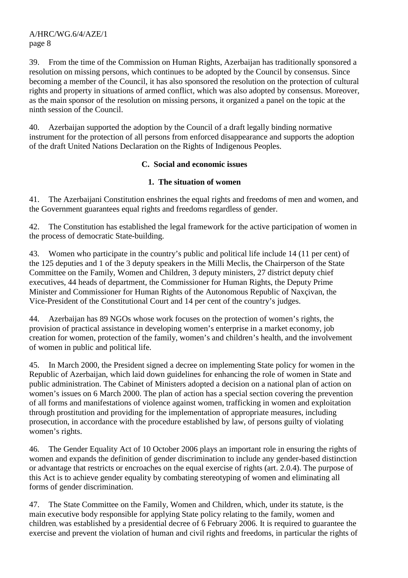39. From the time of the Commission on Human Rights, Azerbaijan has traditionally sponsored a resolution on missing persons, which continues to be adopted by the Council by consensus. Since becoming a member of the Council, it has also sponsored the resolution on the protection of cultural rights and property in situations of armed conflict, which was also adopted by consensus. Moreover, as the main sponsor of the resolution on missing persons, it organized a panel on the topic at the ninth session of the Council.

40. Azerbaijan supported the adoption by the Council of a draft legally binding normative instrument for the protection of all persons from enforced disappearance and supports the adoption of the draft United Nations Declaration on the Rights of Indigenous Peoples.

## **C. Social and economic issues**

## **1. The situation of women**

41. The Azerbaijani Constitution enshrines the equal rights and freedoms of men and women, and the Government guarantees equal rights and freedoms regardless of gender.

42. The Constitution has established the legal framework for the active participation of women in the process of democratic State-building.

43. Women who participate in the country's public and political life include 14 (11 per cent) of the 125 deputies and 1 of the 3 deputy speakers in the Milli Meclis, the Chairperson of the State Committee on the Family, Women and Children, 3 deputy ministers, 27 district deputy chief executives, 44 heads of department, the Commissioner for Human Rights, the Deputy Prime Minister and Commissioner for Human Rights of the Autonomous Republic of Naxçivan, the Vice-President of the Constitutional Court and 14 per cent of the country's judges.

44. Azerbaijan has 89 NGOs whose work focuses on the protection of women's rights, the provision of practical assistance in developing women's enterprise in a market economy, job creation for women, protection of the family, women's and children's health, and the involvement of women in public and political life.

45. In March 2000, the President signed a decree on implementing State policy for women in the Republic of Azerbaijan, which laid down guidelines for enhancing the role of women in State and public administration. The Cabinet of Ministers adopted a decision on a national plan of action on women's issues on 6 March 2000. The plan of action has a special section covering the prevention of all forms and manifestations of violence against women, trafficking in women and exploitation through prostitution and providing for the implementation of appropriate measures, including prosecution, in accordance with the procedure established by law, of persons guilty of violating women's rights.

46. The Gender Equality Act of 10 October 2006 plays an important role in ensuring the rights of women and expands the definition of gender discrimination to include any gender-based distinction or advantage that restricts or encroaches on the equal exercise of rights (art. 2.0.4). The purpose of this Act is to achieve gender equality by combating stereotyping of women and eliminating all forms of gender discrimination.

47. The State Committee on the Family, Women and Children, which, under its statute, is the main executive body responsible for applying State policy relating to the family, women and children, was established by a presidential decree of 6 February 2006. It is required to guarantee the exercise and prevent the violation of human and civil rights and freedoms, in particular the rights of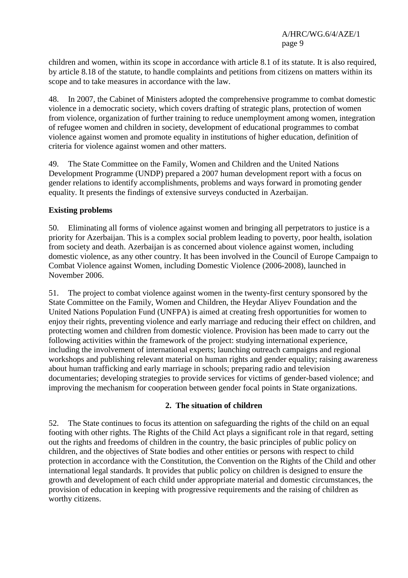children and women, within its scope in accordance with article 8.1 of its statute. It is also required, by article 8.18 of the statute, to handle complaints and petitions from citizens on matters within its scope and to take measures in accordance with the law.

48. In 2007, the Cabinet of Ministers adopted the comprehensive programme to combat domestic violence in a democratic society, which covers drafting of strategic plans, protection of women from violence, organization of further training to reduce unemployment among women, integration of refugee women and children in society, development of educational programmes to combat violence against women and promote equality in institutions of higher education, definition of criteria for violence against women and other matters.

49. The State Committee on the Family, Women and Children and the United Nations Development Programme (UNDP) prepared a 2007 human development report with a focus on gender relations to identify accomplishments, problems and ways forward in promoting gender equality. It presents the findings of extensive surveys conducted in Azerbaijan.

## **Existing problems**

50. Eliminating all forms of violence against women and bringing all perpetrators to justice is a priority for Azerbaijan. This is a complex social problem leading to poverty, poor health, isolation from society and death. Azerbaijan is as concerned about violence against women, including domestic violence, as any other country. It has been involved in the Council of Europe Campaign to Combat Violence against Women, including Domestic Violence (2006-2008), launched in November 2006.

51. The project to combat violence against women in the twenty-first century sponsored by the State Committee on the Family, Women and Children, the Heydar Aliyev Foundation and the United Nations Population Fund (UNFPA) is aimed at creating fresh opportunities for women to enjoy their rights, preventing violence and early marriage and reducing their effect on children, and protecting women and children from domestic violence. Provision has been made to carry out the following activities within the framework of the project: studying international experience, including the involvement of international experts; launching outreach campaigns and regional workshops and publishing relevant material on human rights and gender equality; raising awareness about human trafficking and early marriage in schools; preparing radio and television documentaries; developing strategies to provide services for victims of gender-based violence; and improving the mechanism for cooperation between gender focal points in State organizations.

## **2. The situation of children**

52. The State continues to focus its attention on safeguarding the rights of the child on an equal footing with other rights. The Rights of the Child Act plays a significant role in that regard, setting out the rights and freedoms of children in the country, the basic principles of public policy on children, and the objectives of State bodies and other entities or persons with respect to child protection in accordance with the Constitution, the Convention on the Rights of the Child and other international legal standards. It provides that public policy on children is designed to ensure the growth and development of each child under appropriate material and domestic circumstances, the provision of education in keeping with progressive requirements and the raising of children as worthy citizens.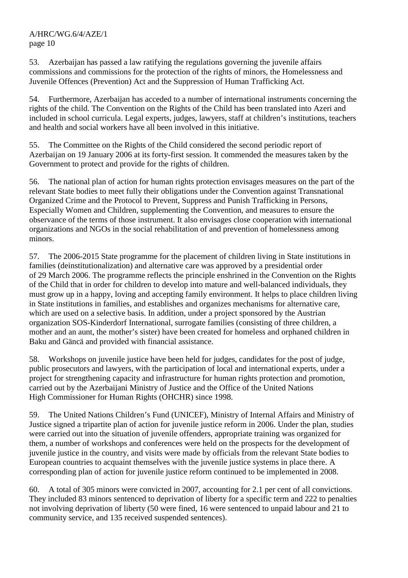53. Azerbaijan has passed a law ratifying the regulations governing the juvenile affairs commissions and commissions for the protection of the rights of minors, the Homelessness and Juvenile Offences (Prevention) Act and the Suppression of Human Trafficking Act.

54. Furthermore, Azerbaijan has acceded to a number of international instruments concerning the rights of the child. The Convention on the Rights of the Child has been translated into Azeri and included in school curricula. Legal experts, judges, lawyers, staff at children's institutions, teachers and health and social workers have all been involved in this initiative.

55. The Committee on the Rights of the Child considered the second periodic report of Azerbaijan on 19 January 2006 at its forty-first session. It commended the measures taken by the Government to protect and provide for the rights of children.

56. The national plan of action for human rights protection envisages measures on the part of the relevant State bodies to meet fully their obligations under the Convention against Transnational Organized Crime and the Protocol to Prevent, Suppress and Punish Trafficking in Persons, Especially Women and Children, supplementing the Convention, and measures to ensure the observance of the terms of those instrument. It also envisages close cooperation with international organizations and NGOs in the social rehabilitation of and prevention of homelessness among minors.

57. The 2006-2015 State programme for the placement of children living in State institutions in families (deinstitutionalization) and alternative care was approved by a presidential order of 29 March 2006. The programme reflects the principle enshrined in the Convention on the Rights of the Child that in order for children to develop into mature and well-balanced individuals, they must grow up in a happy, loving and accepting family environment. It helps to place children living in State institutions in families, and establishes and organizes mechanisms for alternative care, which are used on a selective basis. In addition, under a project sponsored by the Austrian organization SOS-Kinderdorf International, surrogate families (consisting of three children, a mother and an aunt, the mother's sister) have been created for homeless and orphaned children in Baku and Gäncä and provided with financial assistance.

58. Workshops on juvenile justice have been held for judges, candidates for the post of judge, public prosecutors and lawyers, with the participation of local and international experts, under a project for strengthening capacity and infrastructure for human rights protection and promotion, carried out by the Azerbaijani Ministry of Justice and the Office of the United Nations High Commissioner for Human Rights (OHCHR) since 1998.

59. The United Nations Children's Fund (UNICEF), Ministry of Internal Affairs and Ministry of Justice signed a tripartite plan of action for juvenile justice reform in 2006. Under the plan, studies were carried out into the situation of juvenile offenders, appropriate training was organized for them, a number of workshops and conferences were held on the prospects for the development of juvenile justice in the country, and visits were made by officials from the relevant State bodies to European countries to acquaint themselves with the juvenile justice systems in place there. A corresponding plan of action for juvenile justice reform continued to be implemented in 2008.

60. A total of 305 minors were convicted in 2007, accounting for 2.1 per cent of all convictions. They included 83 minors sentenced to deprivation of liberty for a specific term and 222 to penalties not involving deprivation of liberty (50 were fined, 16 were sentenced to unpaid labour and 21 to community service, and 135 received suspended sentences).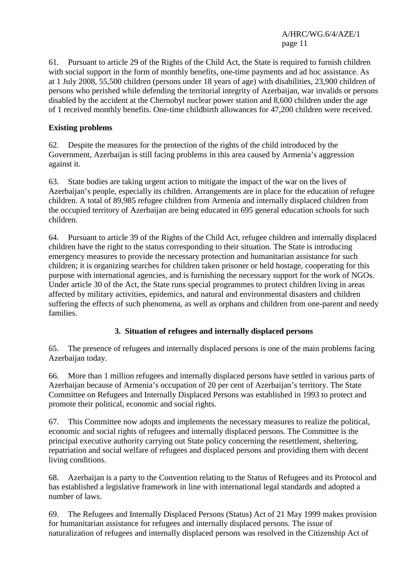61. Pursuant to article 29 of the Rights of the Child Act, the State is required to furnish children with social support in the form of monthly benefits, one-time payments and ad hoc assistance. As at 1 July 2008, 55,500 children (persons under 18 years of age) with disabilities, 23,900 children of persons who perished while defending the territorial integrity of Azerbaijan, war invalids or persons disabled by the accident at the Chernobyl nuclear power station and 8,600 children under the age of 1 received monthly benefits. One-time childbirth allowances for 47,200 children were received.

## **Existing problems**

62. Despite the measures for the protection of the rights of the child introduced by the Government, Azerbaijan is still facing problems in this area caused by Armenia's aggression against it.

63. State bodies are taking urgent action to mitigate the impact of the war on the lives of Azerbaijan's people, especially its children. Arrangements are in place for the education of refugee children. A total of 89,985 refugee children from Armenia and internally displaced children from the occupied territory of Azerbaijan are being educated in 695 general education schools for such children.

64. Pursuant to article 39 of the Rights of the Child Act, refugee children and internally displaced children have the right to the status corresponding to their situation. The State is introducing emergency measures to provide the necessary protection and humanitarian assistance for such children; it is organizing searches for children taken prisoner or held hostage, cooperating for this purpose with international agencies, and is furnishing the necessary support for the work of NGOs. Under article 30 of the Act, the State runs special programmes to protect children living in areas affected by military activities, epidemics, and natural and environmental disasters and children suffering the effects of such phenomena, as well as orphans and children from one-parent and needy families.

# **3. Situation of refugees and internally displaced persons**

65. The presence of refugees and internally displaced persons is one of the main problems facing Azerbaijan today.

66. More than 1 million refugees and internally displaced persons have settled in various parts of Azerbaijan because of Armenia's occupation of 20 per cent of Azerbaijan's territory. The State Committee on Refugees and Internally Displaced Persons was established in 1993 to protect and promote their political, economic and social rights.

67. This Committee now adopts and implements the necessary measures to realize the political, economic and social rights of refugees and internally displaced persons. The Committee is the principal executive authority carrying out State policy concerning the resettlement, sheltering, repatriation and social welfare of refugees and displaced persons and providing them with decent living conditions.

68. Azerbaijan is a party to the Convention relating to the Status of Refugees and its Protocol and has established a legislative framework in line with international legal standards and adopted a number of laws.

69. The Refugees and Internally Displaced Persons (Status) Act of 21 May 1999 makes provision for humanitarian assistance for refugees and internally displaced persons. The issue of naturalization of refugees and internally displaced persons was resolved in the Citizenship Act of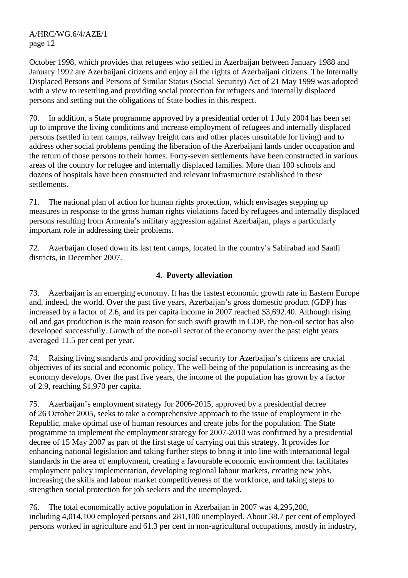October 1998, which provides that refugees who settled in Azerbaijan between January 1988 and January 1992 are Azerbaijani citizens and enjoy all the rights of Azerbaijani citizens. The Internally Displaced Persons and Persons of Similar Status (Social Security) Act of 21 May 1999 was adopted with a view to resettling and providing social protection for refugees and internally displaced persons and setting out the obligations of State bodies in this respect.

70. In addition, a State programme approved by a presidential order of 1 July 2004 has been set up to improve the living conditions and increase employment of refugees and internally displaced persons (settled in tent camps, railway freight cars and other places unsuitable for living) and to address other social problems pending the liberation of the Azerbaijani lands under occupation and the return of those persons to their homes. Forty-seven settlements have been constructed in various areas of the country for refugee and internally displaced families. More than 100 schools and dozens of hospitals have been constructed and relevant infrastructure established in these settlements.

71. The national plan of action for human rights protection, which envisages stepping up measures in response to the gross human rights violations faced by refugees and internally displaced persons resulting from Armenia's military aggression against Azerbaijan, plays a particularly important role in addressing their problems.

72. Azerbaijan closed down its last tent camps, located in the country's Sabirabad and Saatli districts, in December 2007.

## **4. Poverty alleviation**

73. Azerbaijan is an emerging economy. It has the fastest economic growth rate in Eastern Europe and, indeed, the world. Over the past five years, Azerbaijan's gross domestic product (GDP) has increased by a factor of 2.6, and its per capita income in 2007 reached \$3,692.40. Although rising oil and gas production is the main reason for such swift growth in GDP, the non-oil sector has also developed successfully. Growth of the non-oil sector of the economy over the past eight years averaged 11.5 per cent per year.

74. Raising living standards and providing social security for Azerbaijan's citizens are crucial objectives of its social and economic policy. The well-being of the population is increasing as the economy develops. Over the past five years, the income of the population has grown by a factor of 2.9, reaching \$1,970 per capita.

75. Azerbaijan's employment strategy for 2006-2015, approved by a presidential decree of 26 October 2005, seeks to take a comprehensive approach to the issue of employment in the Republic, make optimal use of human resources and create jobs for the population. The State programme to implement the employment strategy for 2007-2010 was confirmed by a presidential decree of 15 May 2007 as part of the first stage of carrying out this strategy. It provides for enhancing national legislation and taking further steps to bring it into line with international legal standards in the area of employment, creating a favourable economic environment that facilitates employment policy implementation, developing regional labour markets, creating new jobs, increasing the skills and labour market competitiveness of the workforce, and taking steps to strengthen social protection for job seekers and the unemployed.

76. The total economically active population in Azerbaijan in 2007 was 4,295,200, including 4,014,100 employed persons and 281,100 unemployed. About 38.7 per cent of employed persons worked in agriculture and 61.3 per cent in non-agricultural occupations, mostly in industry,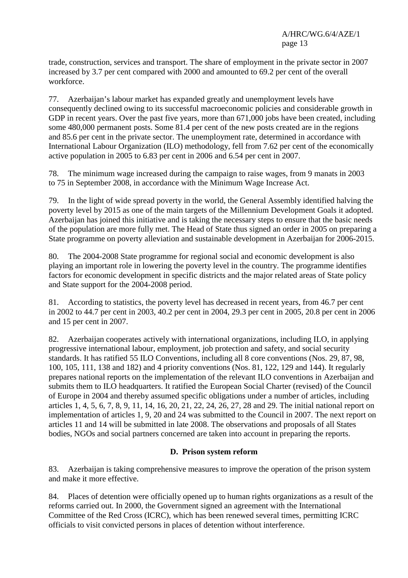trade, construction, services and transport. The share of employment in the private sector in 2007 increased by 3.7 per cent compared with 2000 and amounted to 69.2 per cent of the overall workforce.

77. Azerbaijan's labour market has expanded greatly and unemployment levels have consequently declined owing to its successful macroeconomic policies and considerable growth in GDP in recent years. Over the past five years, more than 671,000 jobs have been created, including some 480,000 permanent posts. Some 81.4 per cent of the new posts created are in the regions and 85.6 per cent in the private sector. The unemployment rate, determined in accordance with International Labour Organization (ILO) methodology, fell from 7.62 per cent of the economically active population in 2005 to 6.83 per cent in 2006 and 6.54 per cent in 2007.

78. The minimum wage increased during the campaign to raise wages, from 9 manats in 2003 to 75 in September 2008, in accordance with the Minimum Wage Increase Act.

79. In the light of wide spread poverty in the world, the General Assembly identified halving the poverty level by 2015 as one of the main targets of the Millennium Development Goals it adopted. Azerbaijan has joined this initiative and is taking the necessary steps to ensure that the basic needs of the population are more fully met. The Head of State thus signed an order in 2005 on preparing a State programme on poverty alleviation and sustainable development in Azerbaijan for 2006-2015.

80. The 2004-2008 State programme for regional social and economic development is also playing an important role in lowering the poverty level in the country. The programme identifies factors for economic development in specific districts and the major related areas of State policy and State support for the 2004-2008 period.

81. According to statistics, the poverty level has decreased in recent years, from 46.7 per cent in 2002 to 44.7 per cent in 2003, 40.2 per cent in 2004, 29.3 per cent in 2005, 20.8 per cent in 2006 and 15 per cent in 2007.

82. Azerbaijan cooperates actively with international organizations, including ILO, in applying progressive international labour, employment, job protection and safety, and social security standards. It has ratified 55 ILO Conventions, including all 8 core conventions (Nos. 29, 87, 98, 100, 105, 111, 138 and 182) and 4 priority conventions (Nos. 81, 122, 129 and 144). It regularly prepares national reports on the implementation of the relevant ILO conventions in Azerbaijan and submits them to ILO headquarters. It ratified the European Social Charter (revised) of the Council of Europe in 2004 and thereby assumed specific obligations under a number of articles, including articles 1, 4, 5, 6, 7, 8, 9, 11, 14, 16, 20, 21, 22, 24, 26, 27, 28 and 29. The initial national report on implementation of articles 1, 9, 20 and 24 was submitted to the Council in 2007. The next report on articles 11 and 14 will be submitted in late 2008. The observations and proposals of all States bodies, NGOs and social partners concerned are taken into account in preparing the reports.

## **D. Prison system reform**

83. Azerbaijan is taking comprehensive measures to improve the operation of the prison system and make it more effective.

84. Places of detention were officially opened up to human rights organizations as a result of the reforms carried out. In 2000, the Government signed an agreement with the International Committee of the Red Cross (ICRC), which has been renewed several times, permitting ICRC officials to visit convicted persons in places of detention without interference.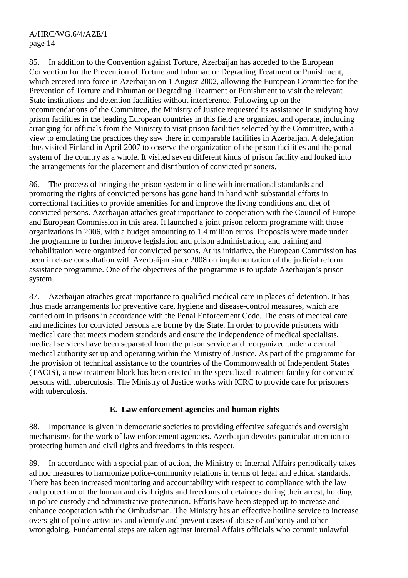85. In addition to the Convention against Torture, Azerbaijan has acceded to the European Convention for the Prevention of Torture and Inhuman or Degrading Treatment or Punishment, which entered into force in Azerbaijan on 1 August 2002, allowing the European Committee for the Prevention of Torture and Inhuman or Degrading Treatment or Punishment to visit the relevant State institutions and detention facilities without interference. Following up on the recommendations of the Committee, the Ministry of Justice requested its assistance in studying how prison facilities in the leading European countries in this field are organized and operate, including arranging for officials from the Ministry to visit prison facilities selected by the Committee, with a view to emulating the practices they saw there in comparable facilities in Azerbaijan. A delegation thus visited Finland in April 2007 to observe the organization of the prison facilities and the penal system of the country as a whole. It visited seven different kinds of prison facility and looked into the arrangements for the placement and distribution of convicted prisoners.

86. The process of bringing the prison system into line with international standards and promoting the rights of convicted persons has gone hand in hand with substantial efforts in correctional facilities to provide amenities for and improve the living conditions and diet of convicted persons. Azerbaijan attaches great importance to cooperation with the Council of Europe and European Commission in this area. It launched a joint prison reform programme with those organizations in 2006, with a budget amounting to 1.4 million euros. Proposals were made under the programme to further improve legislation and prison administration, and training and rehabilitation were organized for convicted persons. At its initiative, the European Commission has been in close consultation with Azerbaijan since 2008 on implementation of the judicial reform assistance programme. One of the objectives of the programme is to update Azerbaijan's prison system.

87. Azerbaijan attaches great importance to qualified medical care in places of detention. It has thus made arrangements for preventive care, hygiene and disease-control measures, which are carried out in prisons in accordance with the Penal Enforcement Code. The costs of medical care and medicines for convicted persons are borne by the State. In order to provide prisoners with medical care that meets modern standards and ensure the independence of medical specialists, medical services have been separated from the prison service and reorganized under a central medical authority set up and operating within the Ministry of Justice. As part of the programme for the provision of technical assistance to the countries of the Commonwealth of Independent States (TACIS), a new treatment block has been erected in the specialized treatment facility for convicted persons with tuberculosis. The Ministry of Justice works with ICRC to provide care for prisoners with tuberculosis.

## **E. Law enforcement agencies and human rights**

88. Importance is given in democratic societies to providing effective safeguards and oversight mechanisms for the work of law enforcement agencies. Azerbaijan devotes particular attention to protecting human and civil rights and freedoms in this respect.

89. In accordance with a special plan of action, the Ministry of Internal Affairs periodically takes ad hoc measures to harmonize police-community relations in terms of legal and ethical standards. There has been increased monitoring and accountability with respect to compliance with the law and protection of the human and civil rights and freedoms of detainees during their arrest, holding in police custody and administrative prosecution. Efforts have been stepped up to increase and enhance cooperation with the Ombudsman. The Ministry has an effective hotline service to increase oversight of police activities and identify and prevent cases of abuse of authority and other wrongdoing. Fundamental steps are taken against Internal Affairs officials who commit unlawful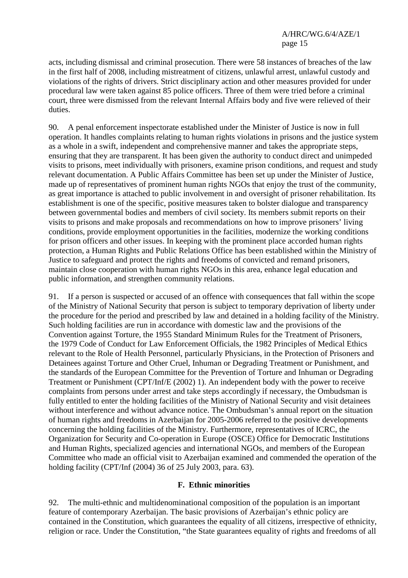acts, including dismissal and criminal prosecution. There were 58 instances of breaches of the law in the first half of 2008, including mistreatment of citizens, unlawful arrest, unlawful custody and violations of the rights of drivers. Strict disciplinary action and other measures provided for under procedural law were taken against 85 police officers. Three of them were tried before a criminal court, three were dismissed from the relevant Internal Affairs body and five were relieved of their duties.

90. A penal enforcement inspectorate established under the Minister of Justice is now in full operation. It handles complaints relating to human rights violations in prisons and the justice system as a whole in a swift, independent and comprehensive manner and takes the appropriate steps, ensuring that they are transparent. It has been given the authority to conduct direct and unimpeded visits to prisons, meet individually with prisoners, examine prison conditions, and request and study relevant documentation. A Public Affairs Committee has been set up under the Minister of Justice, made up of representatives of prominent human rights NGOs that enjoy the trust of the community, as great importance is attached to public involvement in and oversight of prisoner rehabilitation. Its establishment is one of the specific, positive measures taken to bolster dialogue and transparency between governmental bodies and members of civil society. Its members submit reports on their visits to prisons and make proposals and recommendations on how to improve prisoners' living conditions, provide employment opportunities in the facilities, modernize the working conditions for prison officers and other issues. In keeping with the prominent place accorded human rights protection, a Human Rights and Public Relations Office has been established within the Ministry of Justice to safeguard and protect the rights and freedoms of convicted and remand prisoners, maintain close cooperation with human rights NGOs in this area, enhance legal education and public information, and strengthen community relations.

91. If a person is suspected or accused of an offence with consequences that fall within the scope of the Ministry of National Security that person is subject to temporary deprivation of liberty under the procedure for the period and prescribed by law and detained in a holding facility of the Ministry. Such holding facilities are run in accordance with domestic law and the provisions of the Convention against Torture, the 1955 Standard Minimum Rules for the Treatment of Prisoners, the 1979 Code of Conduct for Law Enforcement Officials, the 1982 Principles of Medical Ethics relevant to the Role of Health Personnel, particularly Physicians, in the Protection of Prisoners and Detainees against Torture and Other Cruel, Inhuman or Degrading Treatment or Punishment, and the standards of the European Committee for the Prevention of Torture and Inhuman or Degrading Treatment or Punishment (CPT/Inf/E (2002) 1). An independent body with the power to receive complaints from persons under arrest and take steps accordingly if necessary, the Ombudsman is fully entitled to enter the holding facilities of the Ministry of National Security and visit detainees without interference and without advance notice. The Ombudsman's annual report on the situation of human rights and freedoms in Azerbaijan for 2005-2006 referred to the positive developments concerning the holding facilities of the Ministry. Furthermore, representatives of ICRC, the Organization for Security and Co-operation in Europe (OSCE) Office for Democratic Institutions and Human Rights, specialized agencies and international NGOs, and members of the European Committee who made an official visit to Azerbaijan examined and commended the operation of the holding facility (CPT/Inf (2004) 36 of 25 July 2003, para. 63).

## **F. Ethnic minorities**

92. The multi-ethnic and multidenominational composition of the population is an important feature of contemporary Azerbaijan. The basic provisions of Azerbaijan's ethnic policy are contained in the Constitution, which guarantees the equality of all citizens, irrespective of ethnicity, religion or race. Under the Constitution, "the State guarantees equality of rights and freedoms of all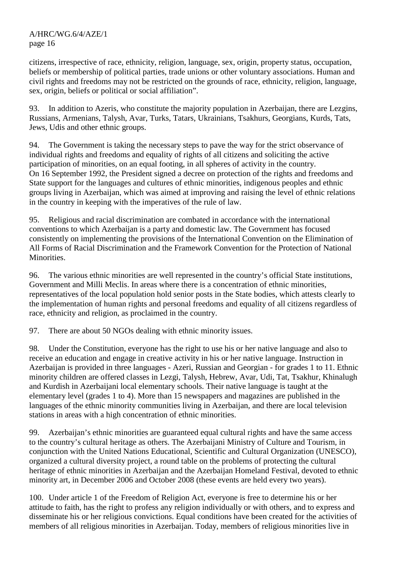citizens, irrespective of race, ethnicity, religion, language, sex, origin, property status, occupation, beliefs or membership of political parties, trade unions or other voluntary associations. Human and civil rights and freedoms may not be restricted on the grounds of race, ethnicity, religion, language, sex, origin, beliefs or political or social affiliation".

93. In addition to Azeris, who constitute the majority population in Azerbaijan, there are Lezgins, Russians, Armenians, Talysh, Avar, Turks, Tatars, Ukrainians, Tsakhurs, Georgians, Kurds, Tats, Jews, Udis and other ethnic groups.

94. The Government is taking the necessary steps to pave the way for the strict observance of individual rights and freedoms and equality of rights of all citizens and soliciting the active participation of minorities, on an equal footing, in all spheres of activity in the country. On 16 September 1992, the President signed a decree on protection of the rights and freedoms and State support for the languages and cultures of ethnic minorities, indigenous peoples and ethnic groups living in Azerbaijan, which was aimed at improving and raising the level of ethnic relations in the country in keeping with the imperatives of the rule of law.

95. Religious and racial discrimination are combated in accordance with the international conventions to which Azerbaijan is a party and domestic law. The Government has focused consistently on implementing the provisions of the International Convention on the Elimination of All Forms of Racial Discrimination and the Framework Convention for the Protection of National Minorities.

96. The various ethnic minorities are well represented in the country's official State institutions, Government and Milli Meclis. In areas where there is a concentration of ethnic minorities, representatives of the local population hold senior posts in the State bodies, which attests clearly to the implementation of human rights and personal freedoms and equality of all citizens regardless of race, ethnicity and religion, as proclaimed in the country.

97. There are about 50 NGOs dealing with ethnic minority issues.

98. Under the Constitution, everyone has the right to use his or her native language and also to receive an education and engage in creative activity in his or her native language. Instruction in Azerbaijan is provided in three languages - Azeri, Russian and Georgian - for grades 1 to 11. Ethnic minority children are offered classes in Lezgi, Talysh, Hebrew, Avar, Udi, Tat, Tsakhur, Khinalugh and Kurdish in Azerbaijani local elementary schools. Their native language is taught at the elementary level (grades 1 to 4). More than 15 newspapers and magazines are published in the languages of the ethnic minority communities living in Azerbaijan, and there are local television stations in areas with a high concentration of ethnic minorities.

99. Azerbaijan's ethnic minorities are guaranteed equal cultural rights and have the same access to the country's cultural heritage as others. The Azerbaijani Ministry of Culture and Tourism, in conjunction with the United Nations Educational, Scientific and Cultural Organization (UNESCO), organized a cultural diversity project, a round table on the problems of protecting the cultural heritage of ethnic minorities in Azerbaijan and the Azerbaijan Homeland Festival, devoted to ethnic minority art, in December 2006 and October 2008 (these events are held every two years).

100. Under article 1 of the Freedom of Religion Act, everyone is free to determine his or her attitude to faith, has the right to profess any religion individually or with others, and to express and disseminate his or her religious convictions. Equal conditions have been created for the activities of members of all religious minorities in Azerbaijan. Today, members of religious minorities live in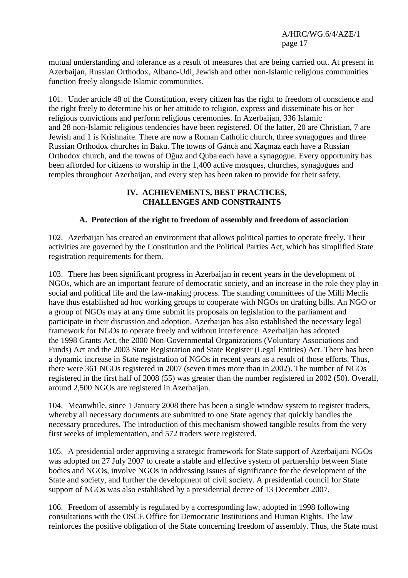mutual understanding and tolerance as a result of measures that are being carried out. At present in Azerbaijan, Russian Orthodox, Albano-Udi, Jewish and other non-Islamic religious communities function freely alongside Islamic communities.

101. Under article 48 of the Constitution, every citizen has the right to freedom of conscience and the right freely to determine his or her attitude to religion, express and disseminate his or her religious convictions and perform religious ceremonies. In Azerbaijan, 336 Islamic and 28 non-Islamic religious tendencies have been registered. Of the latter, 20 are Christian, 7 are Jewish and 1 is Krishnaite. There are now a Roman Catholic church, three synagogues and three Russian Orthodox churches in Baku. The towns of Gäncä and Xaçmaz each have a Russian Orthodox church, and the towns of Oğuz and Quba each have a synagogue. Every opportunity has been afforded for citizens to worship in the 1,400 active mosques, churches, synagogues and temples throughout Azerbaijan, and every step has been taken to provide for their safety.

#### **IV. ACHIEVEMENTS, BEST PRACTICES, CHALLENGES AND CONSTRAINTS**

## **A. Protection of the right to freedom of assembly and freedom of association**

102. Azerbaijan has created an environment that allows political parties to operate freely. Their activities are governed by the Constitution and the Political Parties Act, which has simplified State registration requirements for them.

103. There has been significant progress in Azerbaijan in recent years in the development of NGOs, which are an important feature of democratic society, and an increase in the role they play in social and political life and the law-making process. The standing committees of the Milli Meclis have thus established ad hoc working groups to cooperate with NGOs on drafting bills. An NGO or a group of NGOs may at any time submit its proposals on legislation to the parliament and participate in their discussion and adoption. Azerbaijan has also established the necessary legal framework for NGOs to operate freely and without interference. Azerbaijan has adopted the 1998 Grants Act, the 2000 Non-Governmental Organizations (Voluntary Associations and Funds) Act and the 2003 State Registration and State Register (Legal Entities) Act. There has been a dynamic increase in State registration of NGOs in recent years as a result of those efforts. Thus, there were 361 NGOs registered in 2007 (seven times more than in 2002). The number of NGOs registered in the first half of 2008 (55) was greater than the number registered in 2002 (50). Overall, around 2,500 NGOs are registered in Azerbaijan.

104. Meanwhile, since 1 January 2008 there has been a single window system to register traders, whereby all necessary documents are submitted to one State agency that quickly handles the necessary procedures. The introduction of this mechanism showed tangible results from the very first weeks of implementation, and 572 traders were registered.

105. A presidential order approving a strategic framework for State support of Azerbaijani NGOs was adopted on 27 July 2007 to create a stable and effective system of partnership between State bodies and NGOs, involve NGOs in addressing issues of significance for the development of the State and society, and further the development of civil society. A presidential council for State support of NGOs was also established by a presidential decree of 13 December 2007.

106. Freedom of assembly is regulated by a corresponding law, adopted in 1998 following consultations with the OSCE Office for Democratic Institutions and Human Rights. The law reinforces the positive obligation of the State concerning freedom of assembly. Thus, the State must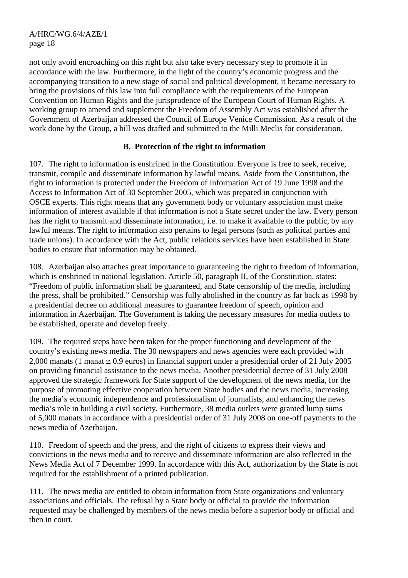not only avoid encroaching on this right but also take every necessary step to promote it in accordance with the law. Furthermore, in the light of the country's economic progress and the accompanying transition to a new stage of social and political development, it became necessary to bring the provisions of this law into full compliance with the requirements of the European Convention on Human Rights and the jurisprudence of the European Court of Human Rights. A working group to amend and supplement the Freedom of Assembly Act was established after the Government of Azerbaijan addressed the Council of Europe Venice Commission. As a result of the work done by the Group, a bill was drafted and submitted to the Milli Meclis for consideration.

## **B. Protection of the right to information**

107. The right to information is enshrined in the Constitution. Everyone is free to seek, receive, transmit, compile and disseminate information by lawful means. Aside from the Constitution, the right to information is protected under the Freedom of Information Act of 19 June 1998 and the Access to Information Act of 30 September 2005, which was prepared in conjunction with OSCE experts. This right means that any government body or voluntary association must make information of interest available if that information is not a State secret under the law. Every person has the right to transmit and disseminate information, i.e. to make it available to the public, by any lawful means. The right to information also pertains to legal persons (such as political parties and trade unions). In accordance with the Act, public relations services have been established in State bodies to ensure that information may be obtained.

108. Azerbaijan also attaches great importance to guaranteeing the right to freedom of information, which is enshrined in national legislation. Article 50, paragraph II, of the Constitution, states: "Freedom of public information shall be guaranteed, and State censorship of the media, including the press, shall be prohibited." Censorship was fully abolished in the country as far back as 1998 by a presidential decree on additional measures to guarantee freedom of speech, opinion and information in Azerbaijan. The Government is taking the necessary measures for media outlets to be established, operate and develop freely.

109. The required steps have been taken for the proper functioning and development of the country's existing news media. The 30 newspapers and news agencies were each provided with 2,000 manats (1 manat  $\approx$  0.9 euros) in financial support under a presidential order of 21 July 2005 on providing financial assistance to the news media. Another presidential decree of 31 July 2008 approved the strategic framework for State support of the development of the news media, for the purpose of promoting effective cooperation between State bodies and the news media, increasing the media's economic independence and professionalism of journalists, and enhancing the news media's role in building a civil society. Furthermore, 38 media outlets were granted lump sums of 5,000 manats in accordance with a presidential order of 31 July 2008 on one-off payments to the news media of Azerbaijan.

110. Freedom of speech and the press, and the right of citizens to express their views and convictions in the news media and to receive and disseminate information are also reflected in the News Media Act of 7 December 1999. In accordance with this Act, authorization by the State is not required for the establishment of a printed publication.

111. The news media are entitled to obtain information from State organizations and voluntary associations and officials. The refusal by a State body or official to provide the information requested may be challenged by members of the news media before a superior body or official and then in court.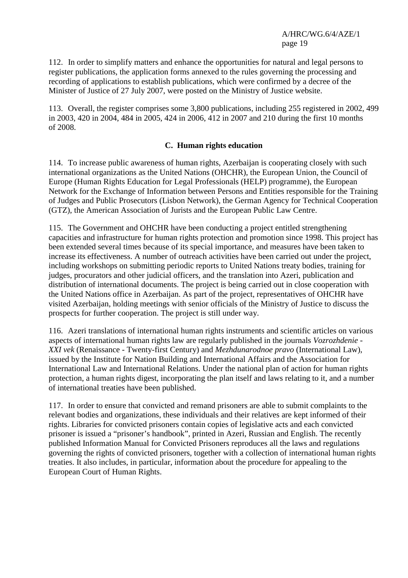112. In order to simplify matters and enhance the opportunities for natural and legal persons to register publications, the application forms annexed to the rules governing the processing and recording of applications to establish publications, which were confirmed by a decree of the Minister of Justice of 27 July 2007, were posted on the Ministry of Justice website.

113. Overall, the register comprises some 3,800 publications, including 255 registered in 2002, 499 in 2003, 420 in 2004, 484 in 2005, 424 in 2006, 412 in 2007 and 210 during the first 10 months of 2008.

## **C. Human rights education**

114. To increase public awareness of human rights, Azerbaijan is cooperating closely with such international organizations as the United Nations (OHCHR), the European Union, the Council of Europe (Human Rights Education for Legal Professionals (HELP) programme), the European Network for the Exchange of Information between Persons and Entities responsible for the Training of Judges and Public Prosecutors (Lisbon Network), the German Agency for Technical Cooperation (GTZ), the American Association of Jurists and the European Public Law Centre.

115. The Government and OHCHR have been conducting a project entitled strengthening capacities and infrastructure for human rights protection and promotion since 1998. This project has been extended several times because of its special importance, and measures have been taken to increase its effectiveness. A number of outreach activities have been carried out under the project, including workshops on submitting periodic reports to United Nations treaty bodies, training for judges, procurators and other judicial officers, and the translation into Azeri, publication and distribution of international documents. The project is being carried out in close cooperation with the United Nations office in Azerbaijan. As part of the project, representatives of OHCHR have visited Azerbaijan, holding meetings with senior officials of the Ministry of Justice to discuss the prospects for further cooperation. The project is still under way.

116. Azeri translations of international human rights instruments and scientific articles on various aspects of international human rights law are regularly published in the journals *Vozrozhdenie - XXI vek* (Renaissance - Twenty-first Century) and *Mezhdunarodnoe pravo* (International Law), issued by the Institute for Nation Building and International Affairs and the Association for International Law and International Relations. Under the national plan of action for human rights protection, a human rights digest, incorporating the plan itself and laws relating to it, and a number of international treaties have been published.

117. In order to ensure that convicted and remand prisoners are able to submit complaints to the relevant bodies and organizations, these individuals and their relatives are kept informed of their rights. Libraries for convicted prisoners contain copies of legislative acts and each convicted prisoner is issued a "prisoner's handbook", printed in Azeri, Russian and English. The recently published Information Manual for Convicted Prisoners reproduces all the laws and regulations governing the rights of convicted prisoners, together with a collection of international human rights treaties. It also includes, in particular, information about the procedure for appealing to the European Court of Human Rights.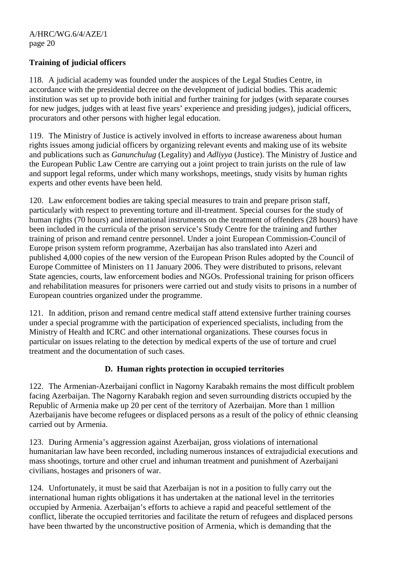## **Training of judicial officers**

118. A judicial academy was founded under the auspices of the Legal Studies Centre, in accordance with the presidential decree on the development of judicial bodies. This academic institution was set up to provide both initial and further training for judges (with separate courses for new judges, judges with at least five years' experience and presiding judges), judicial officers, procurators and other persons with higher legal education.

119. The Ministry of Justice is actively involved in efforts to increase awareness about human rights issues among judicial officers by organizing relevant events and making use of its website and publications such as *Ganunchulug* (Legality) and *Adliyya* (Justice). The Ministry of Justice and the European Public Law Centre are carrying out a joint project to train jurists on the rule of law and support legal reforms, under which many workshops, meetings, study visits by human rights experts and other events have been held.

120. Law enforcement bodies are taking special measures to train and prepare prison staff, particularly with respect to preventing torture and ill-treatment. Special courses for the study of human rights (70 hours) and international instruments on the treatment of offenders (28 hours) have been included in the curricula of the prison service's Study Centre for the training and further training of prison and remand centre personnel. Under a joint European Commission-Council of Europe prison system reform programme, Azerbaijan has also translated into Azeri and published 4,000 copies of the new version of the European Prison Rules adopted by the Council of Europe Committee of Ministers on 11 January 2006. They were distributed to prisons, relevant State agencies, courts, law enforcement bodies and NGOs. Professional training for prison officers and rehabilitation measures for prisoners were carried out and study visits to prisons in a number of European countries organized under the programme.

121. In addition, prison and remand centre medical staff attend extensive further training courses under a special programme with the participation of experienced specialists, including from the Ministry of Health and ICRC and other international organizations. These courses focus in particular on issues relating to the detection by medical experts of the use of torture and cruel treatment and the documentation of such cases.

## **D. Human rights protection in occupied territories**

122. The Armenian-Azerbaijani conflict in Nagorny Karabakh remains the most difficult problem facing Azerbaijan. The Nagorny Karabakh region and seven surrounding districts occupied by the Republic of Armenia make up 20 per cent of the territory of Azerbaijan. More than 1 million Azerbaijanis have become refugees or displaced persons as a result of the policy of ethnic cleansing carried out by Armenia.

123. During Armenia's aggression against Azerbaijan, gross violations of international humanitarian law have been recorded, including numerous instances of extrajudicial executions and mass shootings, torture and other cruel and inhuman treatment and punishment of Azerbaijani civilians, hostages and prisoners of war.

124. Unfortunately, it must be said that Azerbaijan is not in a position to fully carry out the international human rights obligations it has undertaken at the national level in the territories occupied by Armenia. Azerbaijan's efforts to achieve a rapid and peaceful settlement of the conflict, liberate the occupied territories and facilitate the return of refugees and displaced persons have been thwarted by the unconstructive position of Armenia, which is demanding that the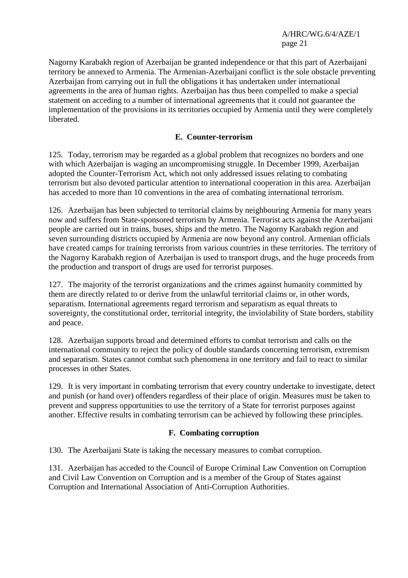Nagorny Karabakh region of Azerbaijan be granted independence or that this part of Azerbaijani territory be annexed to Armenia. The Armenian-Azerbaijani conflict is the sole obstacle preventing Azerbaijan from carrying out in full the obligations it has undertaken under international agreements in the area of human rights. Azerbaijan has thus been compelled to make a special statement on acceding to a number of international agreements that it could not guarantee the implementation of the provisions in its territories occupied by Armenia until they were completely liberated.

## **E. Counter-terrorism**

125. Today, terrorism may be regarded as a global problem that recognizes no borders and one with which Azerbaijan is waging an uncompromising struggle. In December 1999, Azerbaijan adopted the Counter-Terrorism Act, which not only addressed issues relating to combating terrorism but also devoted particular attention to international cooperation in this area. Azerbaijan has acceded to more than 10 conventions in the area of combating international terrorism.

126. Azerbaijan has been subjected to territorial claims by neighbouring Armenia for many years now and suffers from State-sponsored terrorism by Armenia. Terrorist acts against the Azerbaijani people are carried out in trains, buses, ships and the metro. The Nagorny Karabakh region and seven surrounding districts occupied by Armenia are now beyond any control. Armenian officials have created camps for training terrorists from various countries in these territories. The territory of the Nagorny Karabakh region of Azerbaijan is used to transport drugs, and the huge proceeds from the production and transport of drugs are used for terrorist purposes.

127. The majority of the terrorist organizations and the crimes against humanity committed by them are directly related to or derive from the unlawful territorial claims or, in other words, separatism. International agreements regard terrorism and separatism as equal threats to sovereignty, the constitutional order, territorial integrity, the inviolability of State borders, stability and peace.

128. Azerbaijan supports broad and determined efforts to combat terrorism and calls on the international community to reject the policy of double standards concerning terrorism, extremism and separatism. States cannot combat such phenomena in one territory and fail to react to similar processes in other States.

129. It is very important in combating terrorism that every country undertake to investigate, detect and punish (or hand over) offenders regardless of their place of origin. Measures must be taken to prevent and suppress opportunities to use the territory of a State for terrorist purposes against another. Effective results in combating terrorism can be achieved by following these principles.

## **F. Combating corruption**

130. The Azerbaijani State is taking the necessary measures to combat corruption.

131. Azerbaijan has acceded to the Council of Europe Criminal Law Convention on Corruption and Civil Law Convention on Corruption and is a member of the Group of States against Corruption and International Association of Anti-Corruption Authorities.